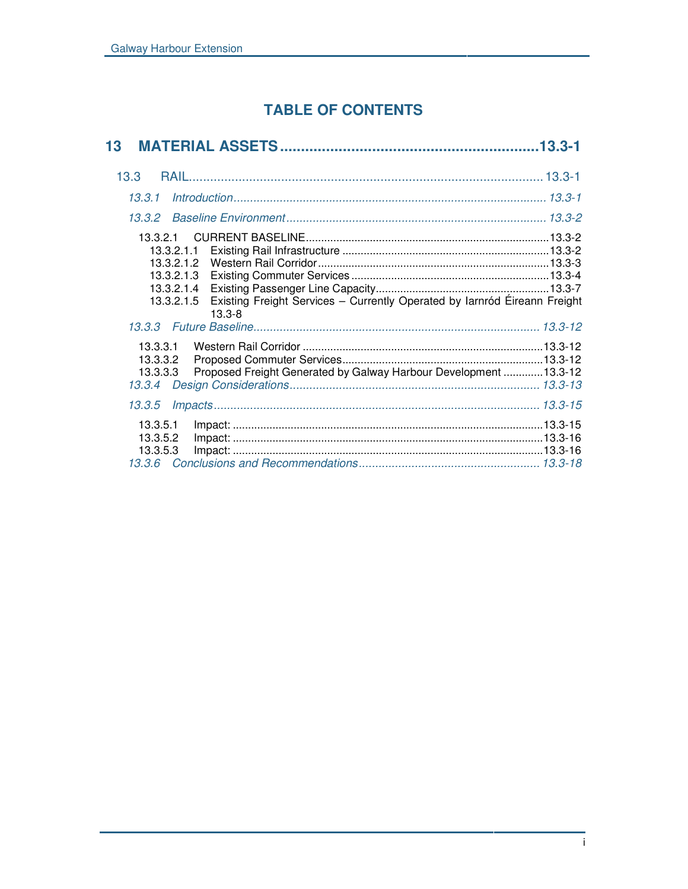# **TABLE OF CONTENTS**

| 13                                                                                                                                                                        |  |
|---------------------------------------------------------------------------------------------------------------------------------------------------------------------------|--|
| 13.3                                                                                                                                                                      |  |
|                                                                                                                                                                           |  |
| 13.3.2                                                                                                                                                                    |  |
| 13.3.2.1<br>13.3.2.1.1<br>13.3.2.1.2<br>13.3.2.1.3<br>13.3.2.1.4<br>Existing Freight Services - Currently Operated by Iarnród Éireann Freight<br>13.3.2.1.5<br>$13.3 - 8$ |  |
| 13.3.3.1<br>13.3.3.2<br>Proposed Freight Generated by Galway Harbour Development  13.3-12<br>13.3.3.3<br>13.3.4                                                           |  |
| 13.3.5                                                                                                                                                                    |  |
| 13.3.5.1<br>13.3.5.2<br>13.3.5.3                                                                                                                                          |  |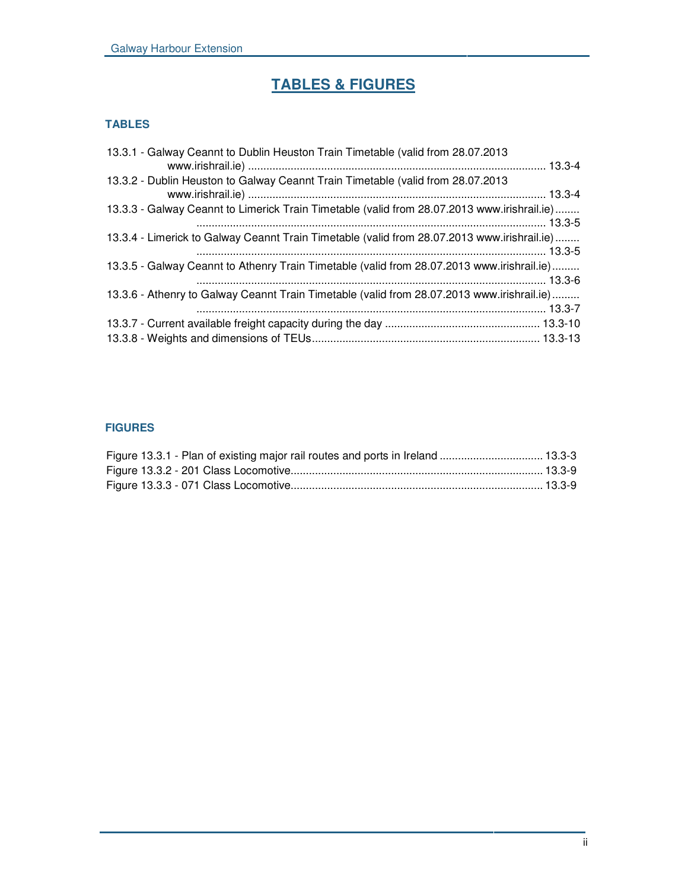# **TABLES & FIGURES**

# **TABLES**

| 13.3.1 - Galway Ceannt to Dublin Heuston Train Timetable (valid from 28.07.2013             |  |
|---------------------------------------------------------------------------------------------|--|
| 13.3.2 - Dublin Heuston to Galway Ceannt Train Timetable (valid from 28.07.2013             |  |
| 13.3.3 - Galway Ceannt to Limerick Train Timetable (valid from 28.07.2013 www.irishrail.ie) |  |
| 13.3.4 - Limerick to Galway Ceannt Train Timetable (valid from 28.07.2013 www.irishrail.ie) |  |
| 13.3.5 - Galway Ceannt to Athenry Train Timetable (valid from 28.07.2013 www.irishrail.ie)  |  |
| 13.3.6 - Athenry to Galway Ceannt Train Timetable (valid from 28.07.2013 www.irishrail.ie)  |  |
|                                                                                             |  |
|                                                                                             |  |

# **FIGURES**

|  | Figure 13.3.1 - Plan of existing major rail routes and ports in Ireland  13.3-3 |  |
|--|---------------------------------------------------------------------------------|--|
|  |                                                                                 |  |
|  |                                                                                 |  |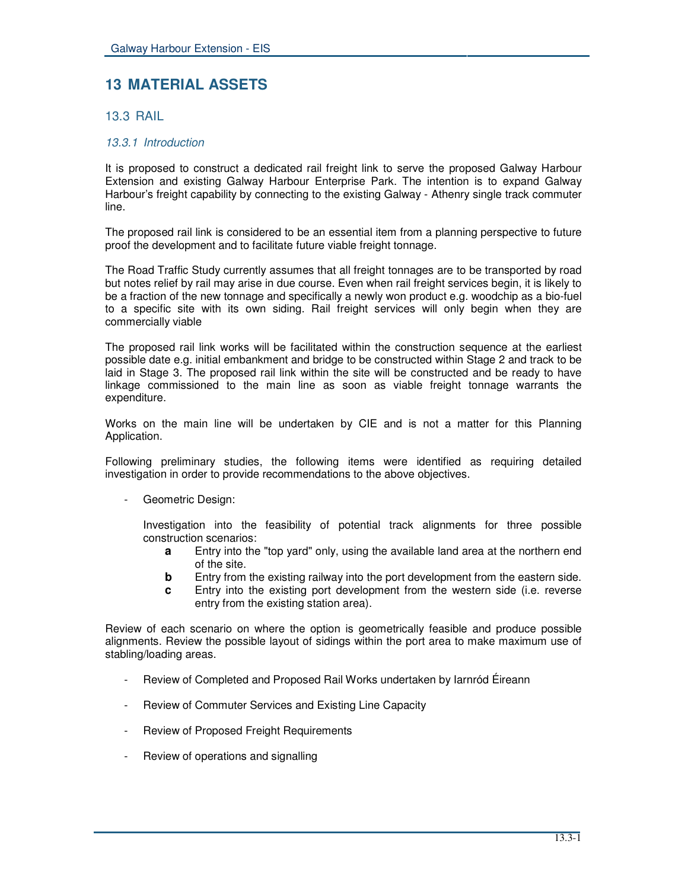# **13 MATERIAL ASSETS**

# 13.3 RAIL

# *13.3.1 Introduction*

It is proposed to construct a dedicated rail freight link to serve the proposed Galway Harbour Extension and existing Galway Harbour Enterprise Park. The intention is to expand Galway Harbour's freight capability by connecting to the existing Galway - Athenry single track commuter line.

The proposed rail link is considered to be an essential item from a planning perspective to future proof the development and to facilitate future viable freight tonnage.

The Road Traffic Study currently assumes that all freight tonnages are to be transported by road but notes relief by rail may arise in due course. Even when rail freight services begin, it is likely to be a fraction of the new tonnage and specifically a newly won product e.g. woodchip as a bio-fuel to a specific site with its own siding. Rail freight services will only begin when they are commercially viable

The proposed rail link works will be facilitated within the construction sequence at the earliest possible date e.g. initial embankment and bridge to be constructed within Stage 2 and track to be laid in Stage 3. The proposed rail link within the site will be constructed and be ready to have linkage commissioned to the main line as soon as viable freight tonnage warrants the expenditure.

Works on the main line will be undertaken by CIE and is not a matter for this Planning Application.

Following preliminary studies, the following items were identified as requiring detailed investigation in order to provide recommendations to the above objectives.

Geometric Design:

Investigation into the feasibility of potential track alignments for three possible construction scenarios:

- **a** Entry into the "top yard" only, using the available land area at the northern end of the site.
- **b** Entry from the existing railway into the port development from the eastern side.
- **c** Entry into the existing port development from the western side (i.e. reverse entry from the existing station area).

Review of each scenario on where the option is geometrically feasible and produce possible alignments. Review the possible layout of sidings within the port area to make maximum use of stabling/loading areas.

- Review of Completed and Proposed Rail Works undertaken by Iarnród Éireann
- Review of Commuter Services and Existing Line Capacity
- Review of Proposed Freight Requirements
- Review of operations and signalling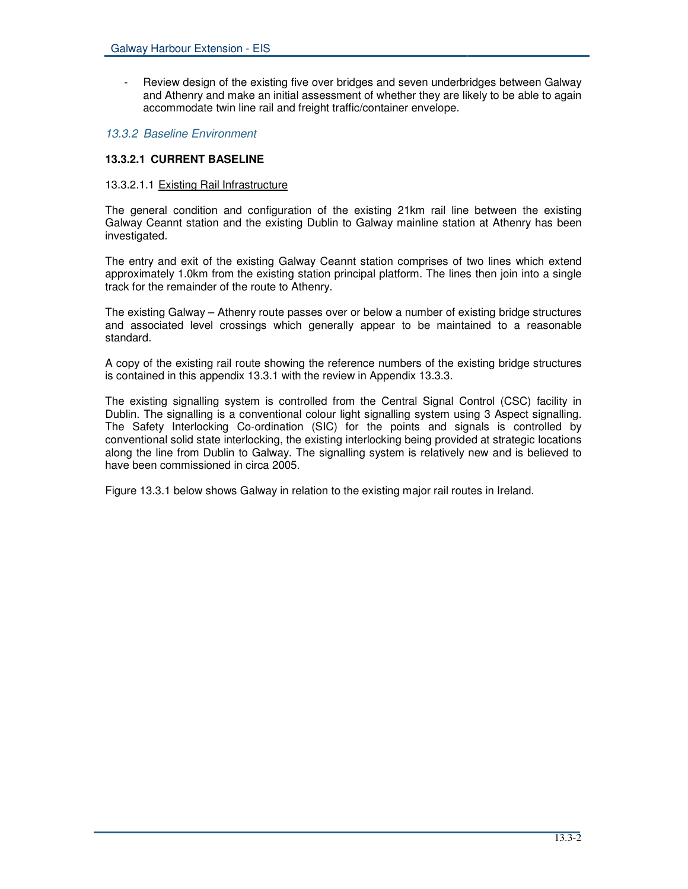- Review design of the existing five over bridges and seven underbridges between Galway and Athenry and make an initial assessment of whether they are likely to be able to again accommodate twin line rail and freight traffic/container envelope.

## *13.3.2 Baseline Environment*

# **13.3.2.1 CURRENT BASELINE**

## 13.3.2.1.1 Existing Rail Infrastructure

The general condition and configuration of the existing 21km rail line between the existing Galway Ceannt station and the existing Dublin to Galway mainline station at Athenry has been investigated.

The entry and exit of the existing Galway Ceannt station comprises of two lines which extend approximately 1.0km from the existing station principal platform. The lines then join into a single track for the remainder of the route to Athenry.

The existing Galway – Athenry route passes over or below a number of existing bridge structures and associated level crossings which generally appear to be maintained to a reasonable standard.

A copy of the existing rail route showing the reference numbers of the existing bridge structures is contained in this appendix 13.3.1 with the review in Appendix 13.3.3.

The existing signalling system is controlled from the Central Signal Control (CSC) facility in Dublin. The signalling is a conventional colour light signalling system using 3 Aspect signalling. The Safety Interlocking Co-ordination (SIC) for the points and signals is controlled by conventional solid state interlocking, the existing interlocking being provided at strategic locations along the line from Dublin to Galway. The signalling system is relatively new and is believed to have been commissioned in circa 2005.

Figure 13.3.1 below shows Galway in relation to the existing major rail routes in Ireland.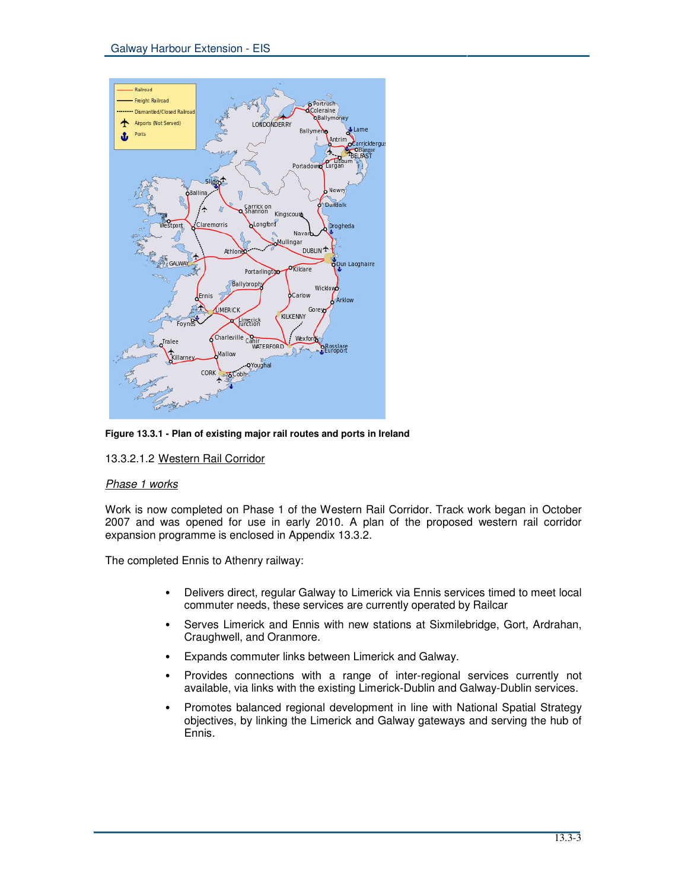

**Figure 13.3.1 - Plan of existing major rail routes and ports in Ireland**

13.3.2.1.2 Western Rail Corridor

## *Phase 1 works*

Work is now completed on Phase 1 of the Western Rail Corridor. Track work began in October 2007 and was opened for use in early 2010. A plan of the proposed western rail corridor expansion programme is enclosed in Appendix 13.3.2.

The completed Ennis to Athenry railway:

- Delivers direct, regular Galway to Limerick via Ennis services timed to meet local commuter needs, these services are currently operated by Railcar
- Serves Limerick and Ennis with new stations at Sixmilebridge, Gort, Ardrahan, Craughwell, and Oranmore.
- Expands commuter links between Limerick and Galway.
- Provides connections with a range of inter-regional services currently not available, via links with the existing Limerick-Dublin and Galway-Dublin services.
- Promotes balanced regional development in line with National Spatial Strategy objectives, by linking the Limerick and Galway gateways and serving the hub of Ennis.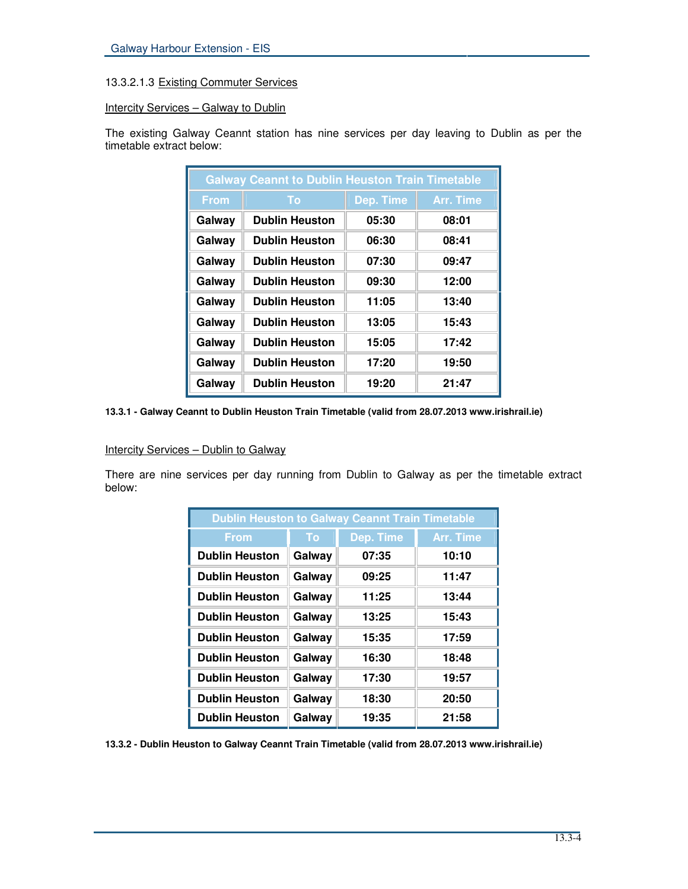# 13.3.2.1.3 Existing Commuter Services

# Intercity Services - Galway to Dublin

The existing Galway Ceannt station has nine services per day leaving to Dublin as per the timetable extract below:

| <b>Galway Ceannt to Dublin Heuston Train Timetable</b> |                       |           |           |
|--------------------------------------------------------|-----------------------|-----------|-----------|
| <b>From</b>                                            | To                    | Dep. Time | Arr. Time |
| Galway                                                 | <b>Dublin Heuston</b> | 05:30     | 08:01     |
| Galway                                                 | <b>Dublin Heuston</b> | 06:30     | 08:41     |
| Galway                                                 | <b>Dublin Heuston</b> | 07:30     | 09:47     |
| Galway                                                 | <b>Dublin Heuston</b> | 09:30     | 12:00     |
| Galway                                                 | <b>Dublin Heuston</b> | 11:05     | 13:40     |
| Galway                                                 | <b>Dublin Heuston</b> | 13:05     | 15:43     |
| Galway                                                 | <b>Dublin Heuston</b> | 15:05     | 17:42     |
| Galway                                                 | <b>Dublin Heuston</b> | 17:20     | 19:50     |
| Galway                                                 | <b>Dublin Heuston</b> | 19:20     | 21:47     |

**13.3.1 - Galway Ceannt to Dublin Heuston Train Timetable (valid from 28.07.2013 www.irishrail.ie)**

## Intercity Services - Dublin to Galway

There are nine services per day running from Dublin to Galway as per the timetable extract below:

| <b>Dublin Heuston to Galway Ceannt Train Timetable</b> |        |           |                  |
|--------------------------------------------------------|--------|-----------|------------------|
| <b>From</b>                                            | To     | Dep. Time | <b>Arr. Time</b> |
| <b>Dublin Heuston</b>                                  | Galway | 07:35     | 10:10            |
| <b>Dublin Heuston</b>                                  | Galway | 09:25     | 11:47            |
| <b>Dublin Heuston</b>                                  | Galway | 11:25     | 13:44            |
| <b>Dublin Heuston</b>                                  | Galway | 13:25     | 15:43            |
| <b>Dublin Heuston</b>                                  | Galway | 15:35     | 17:59            |
| <b>Dublin Heuston</b>                                  | Galway | 16:30     | 18:48            |
| <b>Dublin Heuston</b>                                  | Galway | 17:30     | 19:57            |
| <b>Dublin Heuston</b>                                  | Galway | 18:30     | 20:50            |
| <b>Dublin Heuston</b>                                  | Galway | 19:35     | 21:58            |

**13.3.2 - Dublin Heuston to Galway Ceannt Train Timetable (valid from 28.07.2013 www.irishrail.ie)**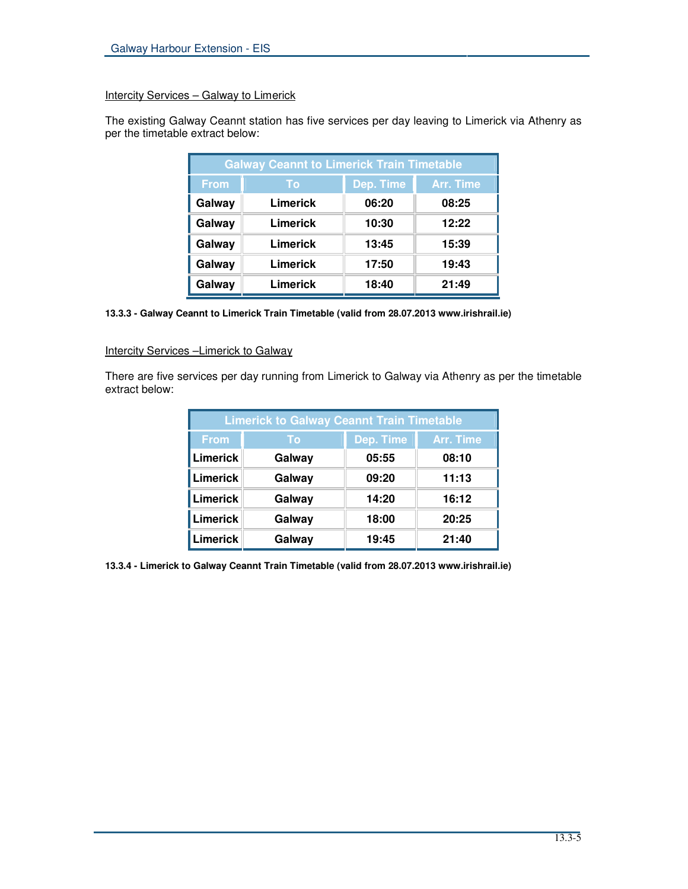# Intercity Services – Galway to Limerick

The existing Galway Ceannt station has five services per day leaving to Limerick via Athenry as per the timetable extract below:

| <b>Galway Ceannt to Limerick Train Timetable</b> |          |           |                  |
|--------------------------------------------------|----------|-----------|------------------|
| <b>From</b>                                      | To       | Dep. Time | <b>Arr. Time</b> |
| Galway                                           | Limerick | 06:20     | 08:25            |
| Galway                                           | Limerick | 10:30     | 12:22            |
| Galway                                           | Limerick | 13:45     | 15:39            |
| Galway                                           | Limerick | 17:50     | 19:43            |
| Galway                                           | Limerick | 18:40     | 21:49            |

#### **13.3.3 - Galway Ceannt to Limerick Train Timetable (valid from 28.07.2013 www.irishrail.ie)**

# Intercity Services -Limerick to Galway

There are five services per day running from Limerick to Galway via Athenry as per the timetable extract below:

| <b>Limerick to Galway Ceannt Train Timetable</b> |        |           |                  |
|--------------------------------------------------|--------|-----------|------------------|
| <b>From</b>                                      | To     | Dep. Time | <b>Arr. Time</b> |
| <b>Limerick</b>                                  | Galway | 05:55     | 08:10            |
| Limerick                                         | Galway | 09:20     | 11:13            |
| Limerick                                         | Galway | 14:20     | 16:12            |
| Limerick                                         | Galway | 18:00     | 20:25            |
| <b>Limerick</b>                                  | Galway | 19:45     | 21:40            |

**13.3.4 - Limerick to Galway Ceannt Train Timetable (valid from 28.07.2013 www.irishrail.ie)**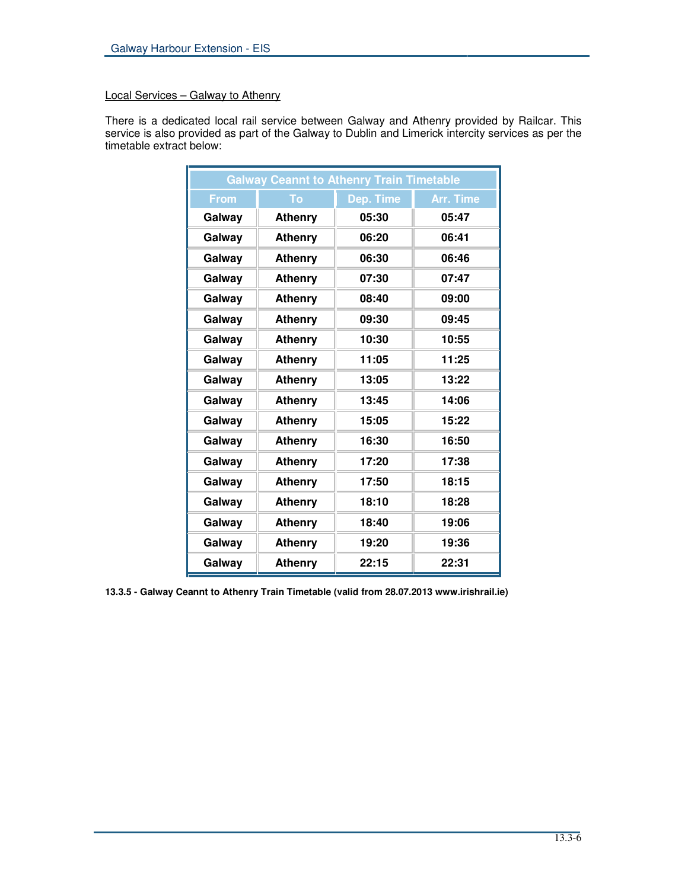# Local Services – Galway to Athenry

There is a dedicated local rail service between Galway and Athenry provided by Railcar. This service is also provided as part of the Galway to Dublin and Limerick intercity services as per the timetable extract below:

| <b>Galway Ceannt to Athenry Train Timetable</b> |                |           |                  |
|-------------------------------------------------|----------------|-----------|------------------|
| <b>From</b>                                     | To             | Dep. Time | <b>Arr. Time</b> |
| Galway                                          | <b>Athenry</b> | 05:30     | 05:47            |
| Galway                                          | <b>Athenry</b> | 06:20     | 06:41            |
| Galway                                          | <b>Athenry</b> | 06:30     | 06:46            |
| Galway                                          | <b>Athenry</b> | 07:30     | 07:47            |
| Galway                                          | <b>Athenry</b> | 08:40     | 09:00            |
| Galway                                          | <b>Athenry</b> | 09:30     | 09:45            |
| Galway                                          | <b>Athenry</b> | 10:30     | 10:55            |
| Galway                                          | <b>Athenry</b> | 11:05     | 11:25            |
| Galway                                          | <b>Athenry</b> | 13:05     | 13:22            |
| Galway                                          | <b>Athenry</b> | 13:45     | 14:06            |
| Galway                                          | <b>Athenry</b> | 15:05     | 15:22            |
| Galway                                          | <b>Athenry</b> | 16:30     | 16:50            |
| Galway                                          | <b>Athenry</b> | 17:20     | 17:38            |
| Galway                                          | <b>Athenry</b> | 17:50     | 18:15            |
| Galway                                          | <b>Athenry</b> | 18:10     | 18:28            |
| Galway                                          | <b>Athenry</b> | 18:40     | 19:06            |
| Galway                                          | Athenry        | 19:20     | 19:36            |
| Galway                                          | <b>Athenry</b> | 22:15     | 22:31            |

**13.3.5 - Galway Ceannt to Athenry Train Timetable (valid from 28.07.2013 www.irishrail.ie)**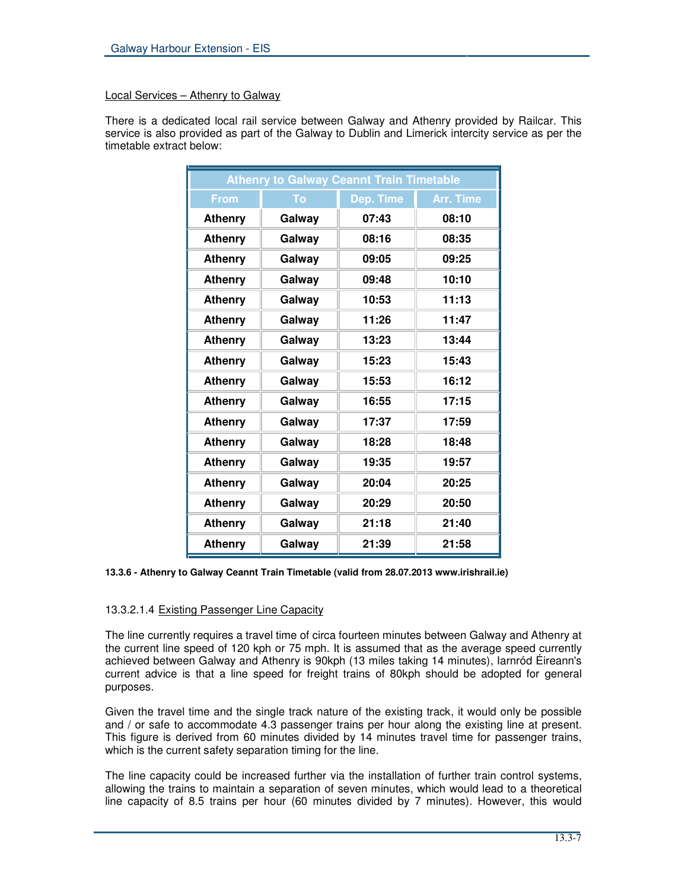# Local Services – Athenry to Galway

There is a dedicated local rail service between Galway and Athenry provided by Railcar. This service is also provided as part of the Galway to Dublin and Limerick intercity service as per the timetable extract below:

| <b>Athenry to Galway Ceannt Train Timetable</b> |        |           |                  |
|-------------------------------------------------|--------|-----------|------------------|
| <b>From</b>                                     | To     | Dep. Time | <b>Arr. Time</b> |
| <b>Athenry</b>                                  | Galway | 07:43     | 08:10            |
| <b>Athenry</b>                                  | Galway | 08:16     | 08:35            |
| <b>Athenry</b>                                  | Galway | 09:05     | 09:25            |
| <b>Athenry</b>                                  | Galway | 09:48     | 10:10            |
| <b>Athenry</b>                                  | Galway | 10:53     | 11:13            |
| <b>Athenry</b>                                  | Galway | 11:26     | 11:47            |
| <b>Athenry</b>                                  | Galway | 13:23     | 13:44            |
| <b>Athenry</b>                                  | Galway | 15:23     | 15:43            |
| <b>Athenry</b>                                  | Galway | 15:53     | 16:12            |
| <b>Athenry</b>                                  | Galway | 16:55     | 17:15            |
| <b>Athenry</b>                                  | Galway | 17:37     | 17:59            |
| <b>Athenry</b>                                  | Galway | 18:28     | 18:48            |
| <b>Athenry</b>                                  | Galway | 19:35     | 19:57            |
| <b>Athenry</b>                                  | Galway | 20:04     | 20:25            |
| <b>Athenry</b>                                  | Galway | 20:29     | 20:50            |
| <b>Athenry</b>                                  | Galway | 21:18     | 21:40            |
| <b>Athenry</b>                                  | Galway | 21:39     | 21:58            |

**13.3.6 - Athenry to Galway Ceannt Train Timetable (valid from 28.07.2013 www.irishrail.ie)**

# 13.3.2.1.4 Existing Passenger Line Capacity

The line currently requires a travel time of circa fourteen minutes between Galway and Athenry at the current line speed of 120 kph or 75 mph. It is assumed that as the average speed currently achieved between Galway and Athenry is 90kph (13 miles taking 14 minutes), Iarnród Éireann's current advice is that a line speed for freight trains of 80kph should be adopted for general purposes.

Given the travel time and the single track nature of the existing track, it would only be possible and / or safe to accommodate 4.3 passenger trains per hour along the existing line at present. This figure is derived from 60 minutes divided by 14 minutes travel time for passenger trains, which is the current safety separation timing for the line.

The line capacity could be increased further via the installation of further train control systems, allowing the trains to maintain a separation of seven minutes, which would lead to a theoretical line capacity of 8.5 trains per hour (60 minutes divided by 7 minutes). However, this would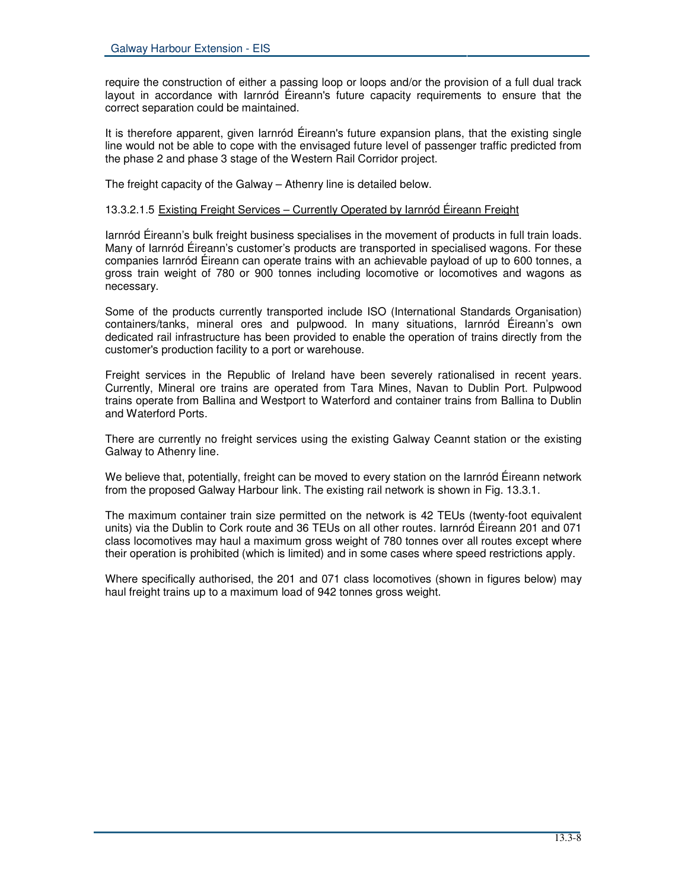require the construction of either a passing loop or loops and/or the provision of a full dual track layout in accordance with Iarnród Éireann's future capacity requirements to ensure that the correct separation could be maintained.

It is therefore apparent, given Iarnród Éireann's future expansion plans, that the existing single line would not be able to cope with the envisaged future level of passenger traffic predicted from the phase 2 and phase 3 stage of the Western Rail Corridor project.

The freight capacity of the Galway – Athenry line is detailed below.

# 13.3.2.1.5 Existing Freight Services - Currently Operated by Iarnród Éireann Freight

Iarnród Éireann's bulk freight business specialises in the movement of products in full train loads. Many of Iarnród Éireann's customer's products are transported in specialised wagons. For these companies Iarnród Éireann can operate trains with an achievable payload of up to 600 tonnes, a gross train weight of 780 or 900 tonnes including locomotive or locomotives and wagons as necessary.

Some of the products currently transported include ISO (International Standards Organisation) containers/tanks, mineral ores and pulpwood. In many situations, Iarnród Éireann's own dedicated rail infrastructure has been provided to enable the operation of trains directly from the customer's production facility to a port or warehouse.

Freight services in the Republic of Ireland have been severely rationalised in recent years. Currently, Mineral ore trains are operated from Tara Mines, Navan to Dublin Port. Pulpwood trains operate from Ballina and Westport to Waterford and container trains from Ballina to Dublin and Waterford Ports.

There are currently no freight services using the existing Galway Ceannt station or the existing Galway to Athenry line.

We believe that, potentially, freight can be moved to every station on the Iarnród Éireann network from the proposed Galway Harbour link. The existing rail network is shown in Fig. 13.3.1.

The maximum container train size permitted on the network is 42 TEUs (twenty-foot equivalent units) via the Dublin to Cork route and 36 TEUs on all other routes. Iarnród Éireann 201 and 071 class locomotives may haul a maximum gross weight of 780 tonnes over all routes except where their operation is prohibited (which is limited) and in some cases where speed restrictions apply.

Where specifically authorised, the 201 and 071 class locomotives (shown in figures below) may haul freight trains up to a maximum load of 942 tonnes gross weight.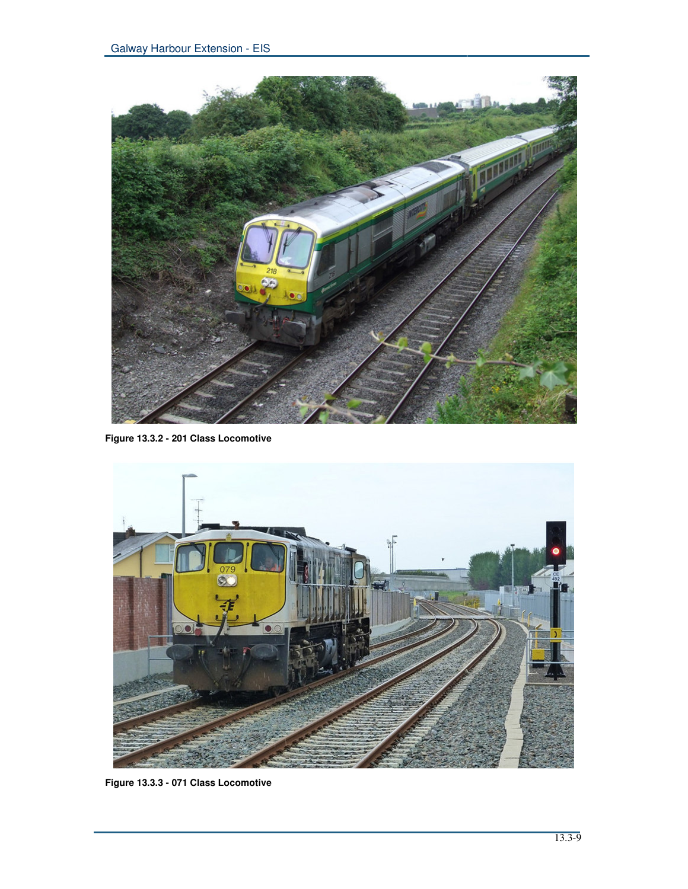

**Figure 13.3.2 - 201 Class Locomotive**



**Figure 13.3.3 - 071 Class Locomotive**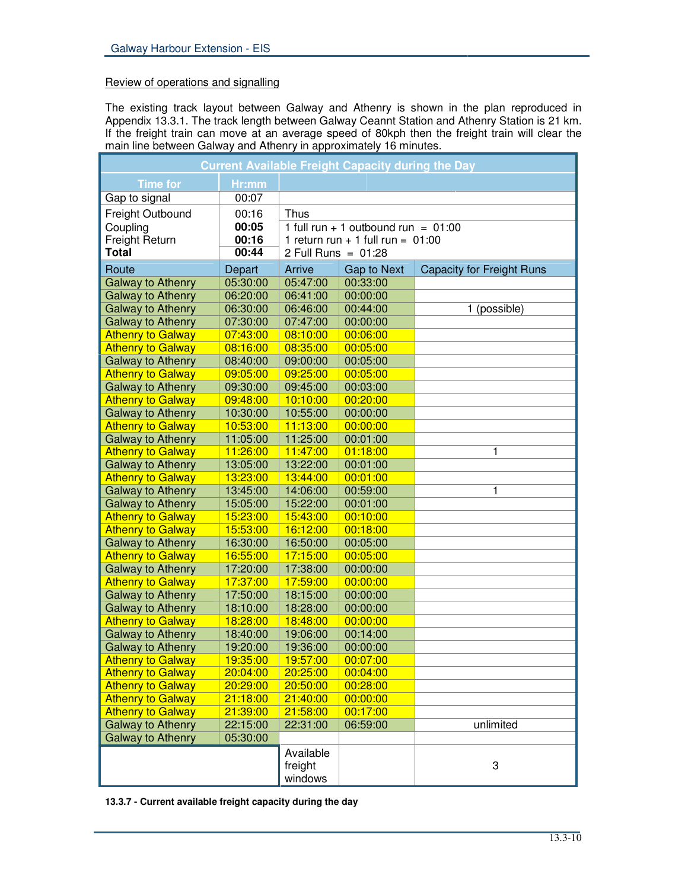# Review of operations and signalling

The existing track layout between Galway and Athenry is shown in the plan reproduced in Appendix 13.3.1. The track length between Galway Ceannt Station and Athenry Station is 21 km. If the freight train can move at an average speed of 80kph then the freight train will clear the main line between Galway and Athenry in approximately 16 minutes.

| <b>Current Available Freight Capacity during the Day</b> |          |                       |                                       |                                  |
|----------------------------------------------------------|----------|-----------------------|---------------------------------------|----------------------------------|
| <b>Time for</b>                                          | Hr:mm    |                       |                                       |                                  |
| Gap to signal                                            | 00:07    |                       |                                       |                                  |
| Freight Outbound                                         | 00:16    | <b>Thus</b>           |                                       |                                  |
| Coupling                                                 | 00:05    |                       | 1 full run + 1 outbound run = $01:00$ |                                  |
| Freight Return                                           | 00:16    |                       | 1 return run + 1 full run = $01:00$   |                                  |
| <b>Total</b>                                             | 00:44    | 2 Full Runs = $01:28$ |                                       |                                  |
| Route                                                    | Depart   | Arrive                | Gap to Next                           | <b>Capacity for Freight Runs</b> |
| <b>Galway to Athenry</b>                                 | 05:30:00 | 05:47:00              | 00:33:00                              |                                  |
| <b>Galway to Athenry</b>                                 | 06:20:00 | 06:41:00              | 00:00:00                              |                                  |
| <b>Galway to Athenry</b>                                 | 06:30:00 | 06:46:00              | 00:44:00                              | 1 (possible)                     |
| <b>Galway to Athenry</b>                                 | 07:30:00 | 07:47:00              | 00:00:00                              |                                  |
| <b>Athenry to Galway</b>                                 | 07:43:00 | 08:10:00              | 00:06:00                              |                                  |
| <b>Athenry to Galway</b>                                 | 08:16:00 | 08:35:00              | 00:05:00                              |                                  |
| <b>Galway to Athenry</b>                                 | 08:40:00 | 09:00:00              | 00:05:00                              |                                  |
| <b>Athenry to Galway</b>                                 | 09:05:00 | 09:25:00              | 00:05:00                              |                                  |
| <b>Galway to Athenry</b>                                 | 09:30:00 | 09:45:00              | 00:03:00                              |                                  |
| <b>Athenry to Galway</b>                                 | 09:48:00 | 10:10:00              | 00:20:00                              |                                  |
| <b>Galway to Athenry</b>                                 | 10:30:00 | 10:55:00              | 00:00:00                              |                                  |
| <b>Athenry to Galway</b>                                 | 10:53:00 | 11:13:00              | 00:00:00                              |                                  |
| <b>Galway to Athenry</b>                                 | 11:05:00 | 11:25:00              | 00:01:00                              |                                  |
| <b>Athenry to Galway</b>                                 | 11:26:00 | 11:47:00              | 01:18:00                              | 1                                |
| <b>Galway to Athenry</b>                                 | 13:05:00 | 13:22:00              | 00:01:00                              |                                  |
| <b>Athenry to Galway</b>                                 | 13:23:00 | 13:44:00              | 00:01:00                              |                                  |
|                                                          | 13:45:00 | 14:06:00              | 00:59:00                              | 1                                |
| <b>Galway to Athenry</b><br><b>Galway to Athenry</b>     | 15:05:00 | 15:22:00              | 00:01:00                              |                                  |
|                                                          | 15:23:00 |                       | 00:10:00                              |                                  |
| <b>Athenry to Galway</b>                                 | 15:53:00 | 15:43:00<br>16:12:00  | 00:18:00                              |                                  |
| <b>Athenry to Galway</b>                                 |          |                       |                                       |                                  |
| <b>Galway to Athenry</b>                                 | 16:30:00 | 16:50:00              | 00:05:00                              |                                  |
| <b>Athenry to Galway</b>                                 | 16:55:00 | 17:15:00              | 00:05:00                              |                                  |
| <b>Galway to Athenry</b>                                 | 17:20:00 | 17:38:00              | 00:00:00<br>00:00:00                  |                                  |
| <b>Athenry to Galway</b>                                 | 17:37:00 | 17:59:00              |                                       |                                  |
| <b>Galway to Athenry</b>                                 | 17:50:00 | 18:15:00              | 00:00:00                              |                                  |
| <b>Galway to Athenry</b>                                 | 18:10:00 | 18:28:00              | 00:00:00                              |                                  |
| <b>Athenry to Galway</b>                                 | 18:28:00 | 18:48:00              | 00:00:00                              |                                  |
| <b>Galway to Athenry</b>                                 | 18:40:00 | 19:06:00              | 00:14:00                              |                                  |
| <b>Galway to Athenry</b>                                 | 19:20:00 | 19:36:00              | 00:00:00                              |                                  |
| <b>Athenry to Galway</b>                                 | 19:35:00 | 19:57:00              | 00:07:00                              |                                  |
| <b>Athenry to Galway</b>                                 | 20:04:00 | 20:25:00              | 00:04:00                              |                                  |
| <b>Athenry to Galway</b>                                 | 20:29:00 | 20:50:00              | 00:28:00                              |                                  |
| <b>Athenry to Galway</b>                                 | 21:18:00 | 21:40:00              | 00:00:00                              |                                  |
| <b>Athenry to Galway</b>                                 | 21:39:00 | 21:58:00              | 00:17:00                              |                                  |
| <b>Galway to Athenry</b>                                 | 22:15:00 | 22:31:00              | 06:59:00                              | unlimited                        |
| <b>Galway to Athenry</b>                                 | 05:30:00 |                       |                                       |                                  |
|                                                          |          | Available             |                                       |                                  |
|                                                          |          | freight               |                                       | 3                                |
|                                                          |          | windows               |                                       |                                  |

**13.3.7 - Current available freight capacity during the day**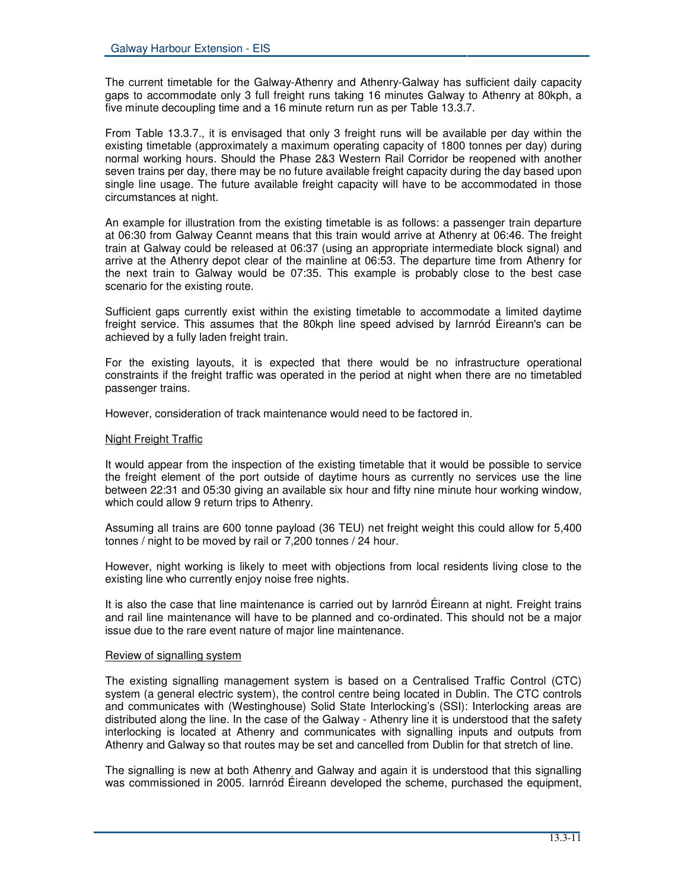The current timetable for the Galway-Athenry and Athenry-Galway has sufficient daily capacity gaps to accommodate only 3 full freight runs taking 16 minutes Galway to Athenry at 80kph, a five minute decoupling time and a 16 minute return run as per Table 13.3.7.

From Table 13.3.7., it is envisaged that only 3 freight runs will be available per day within the existing timetable (approximately a maximum operating capacity of 1800 tonnes per day) during normal working hours. Should the Phase 2&3 Western Rail Corridor be reopened with another seven trains per day, there may be no future available freight capacity during the day based upon single line usage. The future available freight capacity will have to be accommodated in those circumstances at night.

An example for illustration from the existing timetable is as follows: a passenger train departure at 06:30 from Galway Ceannt means that this train would arrive at Athenry at 06:46. The freight train at Galway could be released at 06:37 (using an appropriate intermediate block signal) and arrive at the Athenry depot clear of the mainline at 06:53. The departure time from Athenry for the next train to Galway would be 07:35. This example is probably close to the best case scenario for the existing route.

Sufficient gaps currently exist within the existing timetable to accommodate a limited daytime freight service. This assumes that the 80kph line speed advised by Iarnród Éireann's can be achieved by a fully laden freight train.

For the existing layouts, it is expected that there would be no infrastructure operational constraints if the freight traffic was operated in the period at night when there are no timetabled passenger trains.

However, consideration of track maintenance would need to be factored in.

#### Night Freight Traffic

It would appear from the inspection of the existing timetable that it would be possible to service the freight element of the port outside of daytime hours as currently no services use the line between 22:31 and 05:30 giving an available six hour and fifty nine minute hour working window, which could allow 9 return trips to Athenry.

Assuming all trains are 600 tonne payload (36 TEU) net freight weight this could allow for 5,400 tonnes / night to be moved by rail or 7,200 tonnes / 24 hour.

However, night working is likely to meet with objections from local residents living close to the existing line who currently enjoy noise free nights.

It is also the case that line maintenance is carried out by Iarnród Éireann at night. Freight trains and rail line maintenance will have to be planned and co-ordinated. This should not be a major issue due to the rare event nature of major line maintenance.

#### Review of signalling system

The existing signalling management system is based on a Centralised Traffic Control (CTC) system (a general electric system), the control centre being located in Dublin. The CTC controls and communicates with (Westinghouse) Solid State Interlocking's (SSI): Interlocking areas are distributed along the line. In the case of the Galway - Athenry line it is understood that the safety interlocking is located at Athenry and communicates with signalling inputs and outputs from Athenry and Galway so that routes may be set and cancelled from Dublin for that stretch of line.

The signalling is new at both Athenry and Galway and again it is understood that this signalling was commissioned in 2005. Iarnród Éireann developed the scheme, purchased the equipment,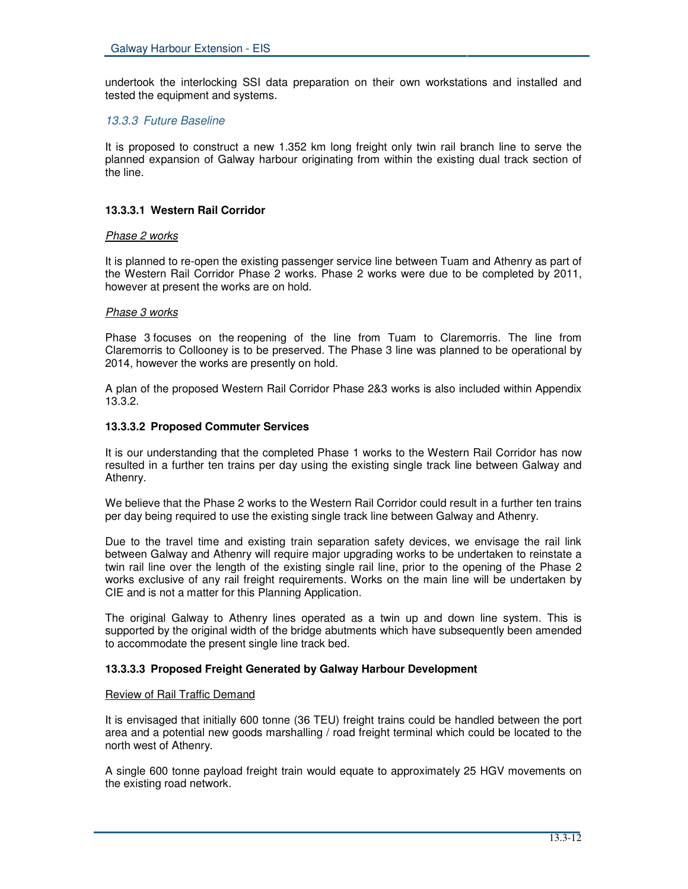undertook the interlocking SSI data preparation on their own workstations and installed and tested the equipment and systems.

# *13.3.3 Future Baseline*

It is proposed to construct a new 1.352 km long freight only twin rail branch line to serve the planned expansion of Galway harbour originating from within the existing dual track section of the line.

## **13.3.3.1 Western Rail Corridor**

#### *Phase 2 works*

It is planned to re-open the existing passenger service line between Tuam and Athenry as part of the Western Rail Corridor Phase 2 works. Phase 2 works were due to be completed by 2011, however at present the works are on hold.

#### *Phase 3 works*

Phase 3 focuses on the reopening of the line from Tuam to Claremorris. The line from Claremorris to Collooney is to be preserved. The Phase 3 line was planned to be operational by 2014, however the works are presently on hold.

A plan of the proposed Western Rail Corridor Phase 2&3 works is also included within Appendix 13.3.2.

#### **13.3.3.2 Proposed Commuter Services**

It is our understanding that the completed Phase 1 works to the Western Rail Corridor has now resulted in a further ten trains per day using the existing single track line between Galway and Athenry.

We believe that the Phase 2 works to the Western Rail Corridor could result in a further ten trains per day being required to use the existing single track line between Galway and Athenry.

Due to the travel time and existing train separation safety devices, we envisage the rail link between Galway and Athenry will require major upgrading works to be undertaken to reinstate a twin rail line over the length of the existing single rail line, prior to the opening of the Phase 2 works exclusive of any rail freight requirements. Works on the main line will be undertaken by CIE and is not a matter for this Planning Application.

The original Galway to Athenry lines operated as a twin up and down line system. This is supported by the original width of the bridge abutments which have subsequently been amended to accommodate the present single line track bed.

## **13.3.3.3 Proposed Freight Generated by Galway Harbour Development**

#### Review of Rail Traffic Demand

It is envisaged that initially 600 tonne (36 TEU) freight trains could be handled between the port area and a potential new goods marshalling / road freight terminal which could be located to the north west of Athenry.

A single 600 tonne payload freight train would equate to approximately 25 HGV movements on the existing road network.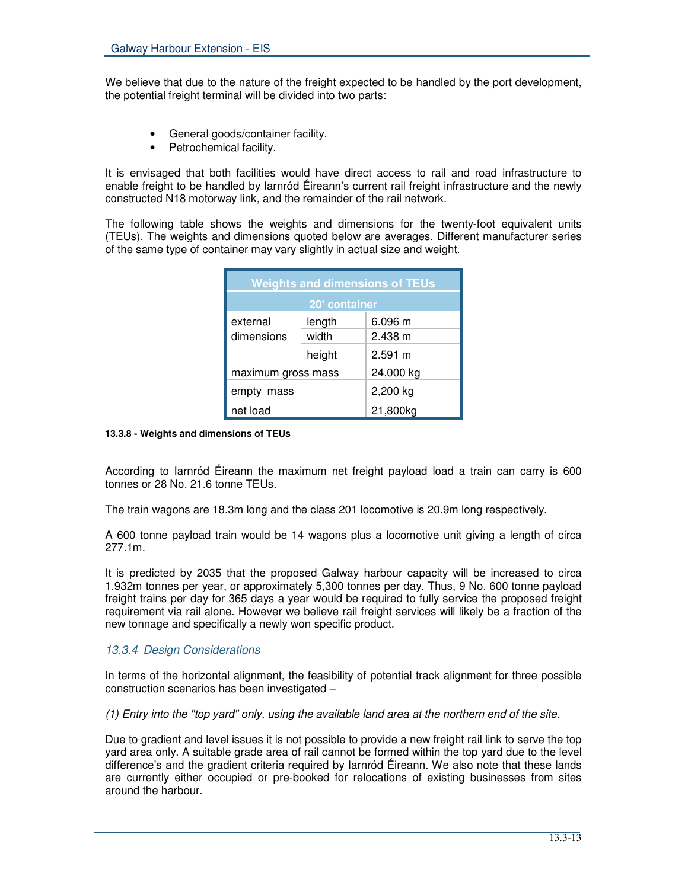We believe that due to the nature of the freight expected to be handled by the port development, the potential freight terminal will be divided into two parts:

- General goods/container facility.
- Petrochemical facility.

It is envisaged that both facilities would have direct access to rail and road infrastructure to enable freight to be handled by Iarnród Éireann's current rail freight infrastructure and the newly constructed N18 motorway link, and the remainder of the rail network.

The following table shows the weights and dimensions for the twenty-foot equivalent units (TEUs). The weights and dimensions quoted below are averages. Different manufacturer series of the same type of container may vary slightly in actual size and weight.

| <b>Weights and dimensions of TEUs</b> |        |           |  |  |
|---------------------------------------|--------|-----------|--|--|
| 20' container                         |        |           |  |  |
| external                              | length | 6.096 m   |  |  |
| dimensions                            | width  | 2.438 m   |  |  |
|                                       | height | 2.591 m   |  |  |
| maximum gross mass                    |        | 24,000 kg |  |  |
| empty mass                            |        | 2,200 kg  |  |  |
| net load                              |        | 21,800kg  |  |  |

#### **13.3.8 - Weights and dimensions of TEUs**

According to Iarnród Éireann the maximum net freight payload load a train can carry is 600 tonnes or 28 No. 21.6 tonne TEUs.

The train wagons are 18.3m long and the class 201 locomotive is 20.9m long respectively.

A 600 tonne payload train would be 14 wagons plus a locomotive unit giving a length of circa 277.1m.

It is predicted by 2035 that the proposed Galway harbour capacity will be increased to circa 1.932m tonnes per year, or approximately 5,300 tonnes per day. Thus, 9 No. 600 tonne payload freight trains per day for 365 days a year would be required to fully service the proposed freight requirement via rail alone. However we believe rail freight services will likely be a fraction of the new tonnage and specifically a newly won specific product.

## *13.3.4 Design Considerations*

In terms of the horizontal alignment, the feasibility of potential track alignment for three possible construction scenarios has been investigated –

(1) Entry into the "top yard" only, using the available land area at the northern end of the site.

Due to gradient and level issues it is not possible to provide a new freight rail link to serve the top yard area only. A suitable grade area of rail cannot be formed within the top yard due to the level difference's and the gradient criteria required by Iarnród Éireann. We also note that these lands are currently either occupied or pre-booked for relocations of existing businesses from sites around the harbour.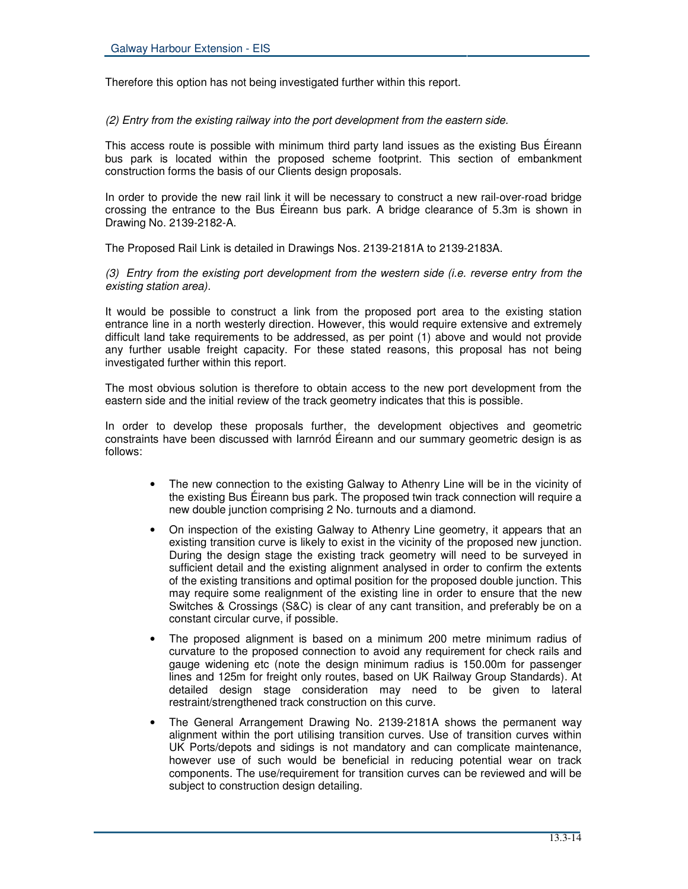Therefore this option has not being investigated further within this report.

*(2) Entry from the existing railway into the port development from the eastern side.*

This access route is possible with minimum third party land issues as the existing Bus Éireann bus park is located within the proposed scheme footprint. This section of embankment construction forms the basis of our Clients design proposals.

In order to provide the new rail link it will be necessary to construct a new rail-over-road bridge crossing the entrance to the Bus Éireann bus park. A bridge clearance of 5.3m is shown in Drawing No. 2139-2182-A.

The Proposed Rail Link is detailed in Drawings Nos. 2139-2181A to 2139-2183A.

*(3) Entry from the existing port development from the western side (i.e. reverse entry from the existing station area).*

It would be possible to construct a link from the proposed port area to the existing station entrance line in a north westerly direction. However, this would require extensive and extremely difficult land take requirements to be addressed, as per point (1) above and would not provide any further usable freight capacity. For these stated reasons, this proposal has not being investigated further within this report.

The most obvious solution is therefore to obtain access to the new port development from the eastern side and the initial review of the track geometry indicates that this is possible.

In order to develop these proposals further, the development objectives and geometric constraints have been discussed with Iarnród Éireann and our summary geometric design is as follows:

- The new connection to the existing Galway to Athenry Line will be in the vicinity of the existing Bus Éireann bus park. The proposed twin track connection will require a new double junction comprising 2 No. turnouts and a diamond.
- On inspection of the existing Galway to Athenry Line geometry, it appears that an existing transition curve is likely to exist in the vicinity of the proposed new junction. During the design stage the existing track geometry will need to be surveyed in sufficient detail and the existing alignment analysed in order to confirm the extents of the existing transitions and optimal position for the proposed double junction. This may require some realignment of the existing line in order to ensure that the new Switches & Crossings (S&C) is clear of any cant transition, and preferably be on a constant circular curve, if possible.
- The proposed alignment is based on a minimum 200 metre minimum radius of curvature to the proposed connection to avoid any requirement for check rails and gauge widening etc (note the design minimum radius is 150.00m for passenger lines and 125m for freight only routes, based on UK Railway Group Standards). At detailed design stage consideration may need to be given to lateral restraint/strengthened track construction on this curve.
- The General Arrangement Drawing No. 2139-2181A shows the permanent way alignment within the port utilising transition curves. Use of transition curves within UK Ports/depots and sidings is not mandatory and can complicate maintenance, however use of such would be beneficial in reducing potential wear on track components. The use/requirement for transition curves can be reviewed and will be subject to construction design detailing.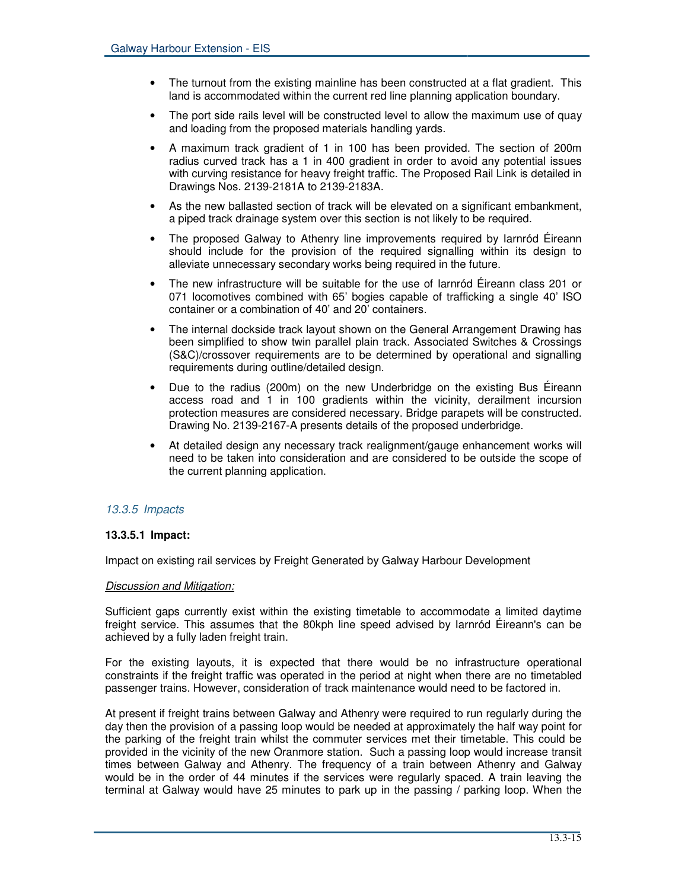- The turnout from the existing mainline has been constructed at a flat gradient. This land is accommodated within the current red line planning application boundary.
- The port side rails level will be constructed level to allow the maximum use of quay and loading from the proposed materials handling yards.
- A maximum track gradient of 1 in 100 has been provided. The section of 200m radius curved track has a 1 in 400 gradient in order to avoid any potential issues with curving resistance for heavy freight traffic. The Proposed Rail Link is detailed in Drawings Nos. 2139-2181A to 2139-2183A.
- As the new ballasted section of track will be elevated on a significant embankment, a piped track drainage system over this section is not likely to be required.
- The proposed Galway to Athenry line improvements required by Iarnród Éireann should include for the provision of the required signalling within its design to alleviate unnecessary secondary works being required in the future.
- The new infrastructure will be suitable for the use of Iarnród Éireann class 201 or 071 locomotives combined with 65' bogies capable of trafficking a single 40' ISO container or a combination of 40' and 20' containers.
- The internal dockside track layout shown on the General Arrangement Drawing has been simplified to show twin parallel plain track. Associated Switches & Crossings (S&C)/crossover requirements are to be determined by operational and signalling requirements during outline/detailed design.
- Due to the radius (200m) on the new Underbridge on the existing Bus Éireann access road and 1 in 100 gradients within the vicinity, derailment incursion protection measures are considered necessary. Bridge parapets will be constructed. Drawing No. 2139-2167-A presents details of the proposed underbridge.
- At detailed design any necessary track realignment/gauge enhancement works will need to be taken into consideration and are considered to be outside the scope of the current planning application.

# *13.3.5 Impacts*

## **13.3.5.1 Impact:**

Impact on existing rail services by Freight Generated by Galway Harbour Development

## *Discussion and Mitigation:*

Sufficient gaps currently exist within the existing timetable to accommodate a limited daytime freight service. This assumes that the 80kph line speed advised by Iarnród Éireann's can be achieved by a fully laden freight train.

For the existing layouts, it is expected that there would be no infrastructure operational constraints if the freight traffic was operated in the period at night when there are no timetabled passenger trains. However, consideration of track maintenance would need to be factored in.

At present if freight trains between Galway and Athenry were required to run regularly during the day then the provision of a passing loop would be needed at approximately the half way point for the parking of the freight train whilst the commuter services met their timetable. This could be provided in the vicinity of the new Oranmore station. Such a passing loop would increase transit times between Galway and Athenry. The frequency of a train between Athenry and Galway would be in the order of 44 minutes if the services were regularly spaced. A train leaving the terminal at Galway would have 25 minutes to park up in the passing / parking loop. When the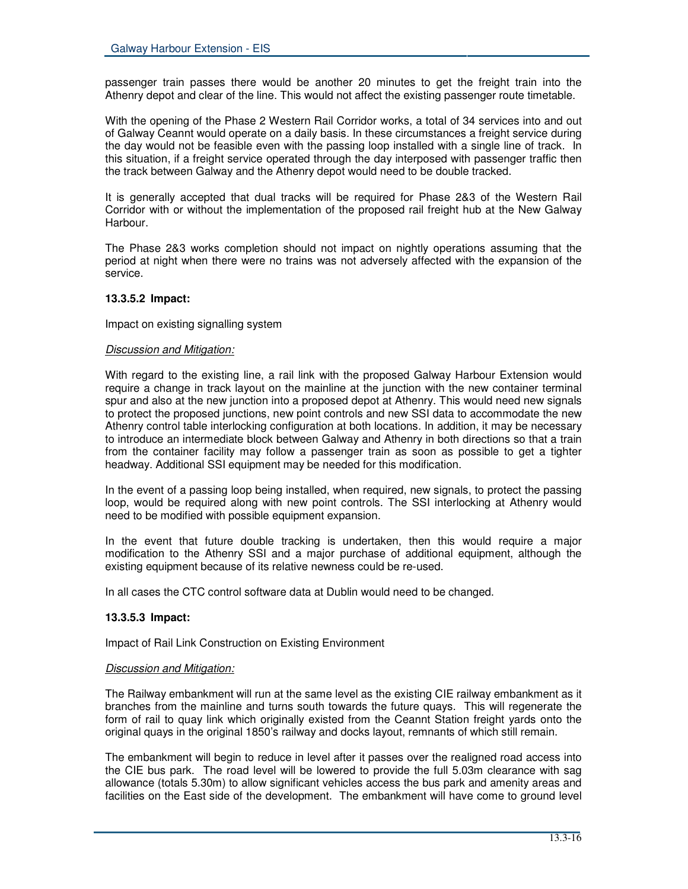passenger train passes there would be another 20 minutes to get the freight train into the Athenry depot and clear of the line. This would not affect the existing passenger route timetable.

With the opening of the Phase 2 Western Rail Corridor works, a total of 34 services into and out of Galway Ceannt would operate on a daily basis. In these circumstances a freight service during the day would not be feasible even with the passing loop installed with a single line of track. In this situation, if a freight service operated through the day interposed with passenger traffic then the track between Galway and the Athenry depot would need to be double tracked.

It is generally accepted that dual tracks will be required for Phase 2&3 of the Western Rail Corridor with or without the implementation of the proposed rail freight hub at the New Galway Harbour.

The Phase 2&3 works completion should not impact on nightly operations assuming that the period at night when there were no trains was not adversely affected with the expansion of the service.

## **13.3.5.2 Impact:**

Impact on existing signalling system

#### *Discussion and Mitigation:*

With regard to the existing line, a rail link with the proposed Galway Harbour Extension would require a change in track layout on the mainline at the junction with the new container terminal spur and also at the new junction into a proposed depot at Athenry. This would need new signals to protect the proposed junctions, new point controls and new SSI data to accommodate the new Athenry control table interlocking configuration at both locations. In addition, it may be necessary to introduce an intermediate block between Galway and Athenry in both directions so that a train from the container facility may follow a passenger train as soon as possible to get a tighter headway. Additional SSI equipment may be needed for this modification.

In the event of a passing loop being installed, when required, new signals, to protect the passing loop, would be required along with new point controls. The SSI interlocking at Athenry would need to be modified with possible equipment expansion.

In the event that future double tracking is undertaken, then this would require a major modification to the Athenry SSI and a major purchase of additional equipment, although the existing equipment because of its relative newness could be re-used.

In all cases the CTC control software data at Dublin would need to be changed.

## **13.3.5.3 Impact:**

Impact of Rail Link Construction on Existing Environment

#### *Discussion and Mitigation:*

The Railway embankment will run at the same level as the existing CIE railway embankment as it branches from the mainline and turns south towards the future quays. This will regenerate the form of rail to quay link which originally existed from the Ceannt Station freight yards onto the original quays in the original 1850's railway and docks layout, remnants of which still remain.

The embankment will begin to reduce in level after it passes over the realigned road access into the CIE bus park. The road level will be lowered to provide the full 5.03m clearance with sag allowance (totals 5.30m) to allow significant vehicles access the bus park and amenity areas and facilities on the East side of the development. The embankment will have come to ground level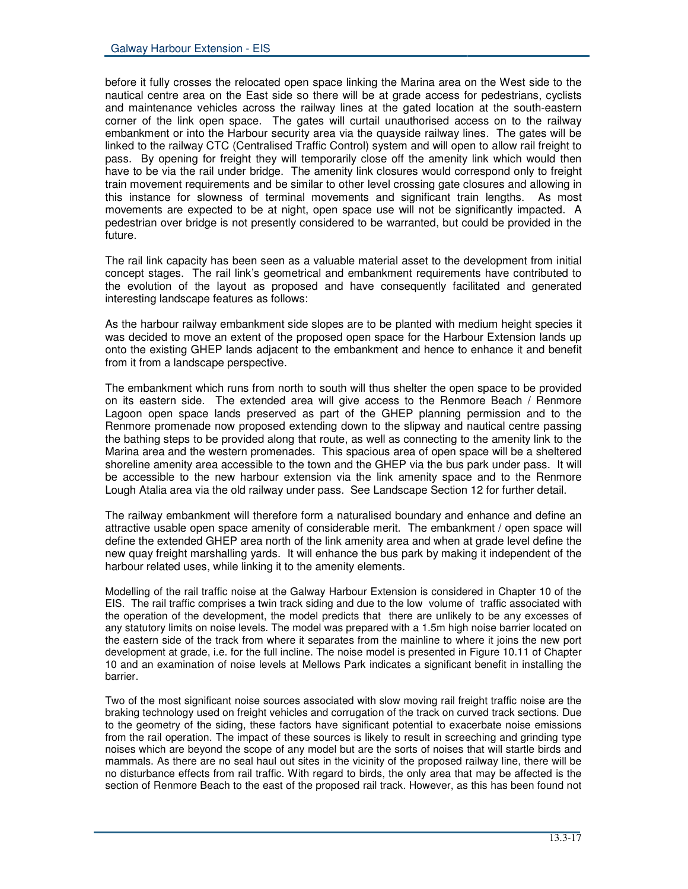before it fully crosses the relocated open space linking the Marina area on the West side to the nautical centre area on the East side so there will be at grade access for pedestrians, cyclists and maintenance vehicles across the railway lines at the gated location at the south-eastern corner of the link open space. The gates will curtail unauthorised access on to the railway embankment or into the Harbour security area via the quayside railway lines. The gates will be linked to the railway CTC (Centralised Traffic Control) system and will open to allow rail freight to pass. By opening for freight they will temporarily close off the amenity link which would then have to be via the rail under bridge. The amenity link closures would correspond only to freight train movement requirements and be similar to other level crossing gate closures and allowing in this instance for slowness of terminal movements and significant train lengths. As most movements are expected to be at night, open space use will not be significantly impacted. A pedestrian over bridge is not presently considered to be warranted, but could be provided in the future.

The rail link capacity has been seen as a valuable material asset to the development from initial concept stages. The rail link's geometrical and embankment requirements have contributed to the evolution of the layout as proposed and have consequently facilitated and generated interesting landscape features as follows:

As the harbour railway embankment side slopes are to be planted with medium height species it was decided to move an extent of the proposed open space for the Harbour Extension lands up onto the existing GHEP lands adjacent to the embankment and hence to enhance it and benefit from it from a landscape perspective.

The embankment which runs from north to south will thus shelter the open space to be provided on its eastern side. The extended area will give access to the Renmore Beach / Renmore Lagoon open space lands preserved as part of the GHEP planning permission and to the Renmore promenade now proposed extending down to the slipway and nautical centre passing the bathing steps to be provided along that route, as well as connecting to the amenity link to the Marina area and the western promenades. This spacious area of open space will be a sheltered shoreline amenity area accessible to the town and the GHEP via the bus park under pass. It will be accessible to the new harbour extension via the link amenity space and to the Renmore Lough Atalia area via the old railway under pass. See Landscape Section 12 for further detail.

The railway embankment will therefore form a naturalised boundary and enhance and define an attractive usable open space amenity of considerable merit. The embankment / open space will define the extended GHEP area north of the link amenity area and when at grade level define the new quay freight marshalling yards. It will enhance the bus park by making it independent of the harbour related uses, while linking it to the amenity elements.

Modelling of the rail traffic noise at the Galway Harbour Extension is considered in Chapter 10 of the EIS. The rail traffic comprises a twin track siding and due to the low volume of traffic associated with the operation of the development, the model predicts that there are unlikely to be any excesses of any statutory limits on noise levels. The model was prepared with a 1.5m high noise barrier located on the eastern side of the track from where it separates from the mainline to where it joins the new port development at grade, i.e. for the full incline. The noise model is presented in Figure 10.11 of Chapter 10 and an examination of noise levels at Mellows Park indicates a significant benefit in installing the barrier.

Two of the most significant noise sources associated with slow moving rail freight traffic noise are the braking technology used on freight vehicles and corrugation of the track on curved track sections. Due to the geometry of the siding, these factors have significant potential to exacerbate noise emissions from the rail operation. The impact of these sources is likely to result in screeching and grinding type noises which are beyond the scope of any model but are the sorts of noises that will startle birds and mammals. As there are no seal haul out sites in the vicinity of the proposed railway line, there will be no disturbance effects from rail traffic. With regard to birds, the only area that may be affected is the section of Renmore Beach to the east of the proposed rail track. However, as this has been found not